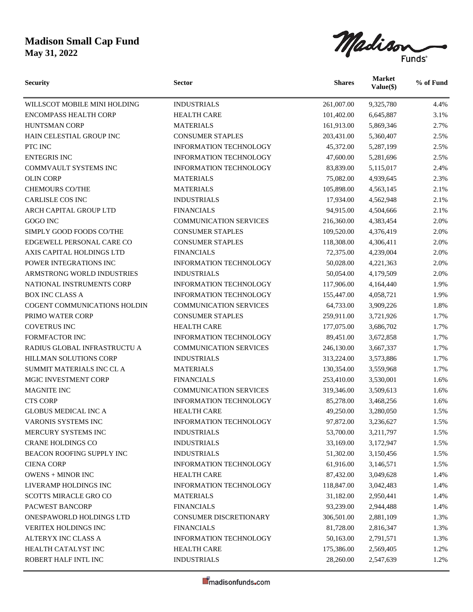## **Madison Small Cap Fund May 31, 2022**

Madison

| <b>Security</b>              | <b>Sector</b>                 | <b>Shares</b> | <b>Market</b><br>Value(\$) | % of Fund |
|------------------------------|-------------------------------|---------------|----------------------------|-----------|
| WILLSCOT MOBILE MINI HOLDING | <b>INDUSTRIALS</b>            | 261,007.00    | 9,325,780                  | 4.4%      |
| <b>ENCOMPASS HEALTH CORP</b> | <b>HEALTH CARE</b>            | 101,402.00    | 6,645,887                  | 3.1%      |
| <b>HUNTSMAN CORP</b>         | <b>MATERIALS</b>              | 161,913.00    | 5,869,346                  | 2.7%      |
| HAIN CELESTIAL GROUP INC     | <b>CONSUMER STAPLES</b>       | 203,431.00    | 5,360,407                  | 2.5%      |
| PTC INC                      | <b>INFORMATION TECHNOLOGY</b> | 45,372.00     | 5,287,199                  | 2.5%      |
| <b>ENTEGRIS INC</b>          | <b>INFORMATION TECHNOLOGY</b> | 47,600.00     | 5,281,696                  | 2.5%      |
| COMMVAULT SYSTEMS INC        | <b>INFORMATION TECHNOLOGY</b> | 83,839.00     | 5,115,017                  | 2.4%      |
| <b>OLIN CORP</b>             | <b>MATERIALS</b>              | 75,082.00     | 4,939,645                  | 2.3%      |
| <b>CHEMOURS CO/THE</b>       | <b>MATERIALS</b>              | 105,898.00    | 4,563,145                  | 2.1%      |
| <b>CARLISLE COS INC</b>      | <b>INDUSTRIALS</b>            | 17,934.00     | 4,562,948                  | 2.1%      |
| ARCH CAPITAL GROUP LTD       | <b>FINANCIALS</b>             | 94,915.00     | 4,504,666                  | 2.1%      |
| GOGO INC                     | <b>COMMUNICATION SERVICES</b> | 216,360.00    | 4,383,454                  | 2.0%      |
| SIMPLY GOOD FOODS CO/THE     | <b>CONSUMER STAPLES</b>       | 109,520.00    | 4,376,419                  | 2.0%      |
| EDGEWELL PERSONAL CARE CO    | <b>CONSUMER STAPLES</b>       | 118,308.00    | 4,306,411                  | 2.0%      |
| AXIS CAPITAL HOLDINGS LTD    | <b>FINANCIALS</b>             | 72,375.00     | 4,239,004                  | 2.0%      |
| POWER INTEGRATIONS INC       | INFORMATION TECHNOLOGY        | 50,028.00     | 4,221,363                  | 2.0%      |
| ARMSTRONG WORLD INDUSTRIES   | <b>INDUSTRIALS</b>            | 50,054.00     | 4,179,509                  | 2.0%      |
| NATIONAL INSTRUMENTS CORP    | <b>INFORMATION TECHNOLOGY</b> | 117,906.00    | 4,164,440                  | 1.9%      |
| <b>BOX INC CLASS A</b>       | <b>INFORMATION TECHNOLOGY</b> | 155,447.00    | 4,058,721                  | 1.9%      |
| COGENT COMMUNICATIONS HOLDIN | <b>COMMUNICATION SERVICES</b> | 64,733.00     | 3,909,226                  | 1.8%      |
| PRIMO WATER CORP             | <b>CONSUMER STAPLES</b>       | 259,911.00    | 3,721,926                  | 1.7%      |
| COVETRUS INC                 | <b>HEALTH CARE</b>            | 177,075.00    | 3,686,702                  | 1.7%      |
| FORMFACTOR INC               | <b>INFORMATION TECHNOLOGY</b> | 89,451.00     | 3,672,858                  | 1.7%      |
| RADIUS GLOBAL INFRASTRUCTU A | <b>COMMUNICATION SERVICES</b> | 246,130.00    | 3,667,337                  | 1.7%      |
| HILLMAN SOLUTIONS CORP       | <b>INDUSTRIALS</b>            | 313,224.00    | 3,573,886                  | 1.7%      |
| SUMMIT MATERIALS INC CL A    | <b>MATERIALS</b>              | 130,354.00    | 3,559,968                  | 1.7%      |
| MGIC INVESTMENT CORP         | <b>FINANCIALS</b>             | 253,410.00    | 3,530,001                  | 1.6%      |
| <b>MAGNITE INC</b>           | <b>COMMUNICATION SERVICES</b> | 319,346.00    | 3,509,613                  | 1.6%      |
| <b>CTS CORP</b>              | INFORMATION TECHNOLOGY        | 85,278.00     | 3,468,256                  | 1.6%      |
| <b>GLOBUS MEDICAL INC A</b>  | <b>HEALTH CARE</b>            | 49,250.00     | 3,280,050                  | 1.5%      |
| VARONIS SYSTEMS INC          | INFORMATION TECHNOLOGY        | 97,872.00     | 3,236,627                  | 1.5%      |
| MERCURY SYSTEMS INC          | <b>INDUSTRIALS</b>            | 53,700.00     | 3,211,797                  | 1.5%      |
| CRANE HOLDINGS CO            | <b>INDUSTRIALS</b>            | 33,169.00     | 3,172,947                  | 1.5%      |
| BEACON ROOFING SUPPLY INC    | <b>INDUSTRIALS</b>            | 51,302.00     | 3,150,456                  | 1.5%      |
| <b>CIENA CORP</b>            | <b>INFORMATION TECHNOLOGY</b> | 61,916.00     | 3,146,571                  | 1.5%      |
| <b>OWENS + MINOR INC</b>     | <b>HEALTH CARE</b>            | 87,432.00     | 3,049,628                  | 1.4%      |
| LIVERAMP HOLDINGS INC        | <b>INFORMATION TECHNOLOGY</b> | 118,847.00    | 3,042,483                  | 1.4%      |
| <b>SCOTTS MIRACLE GRO CO</b> | <b>MATERIALS</b>              | 31,182.00     | 2,950,441                  | 1.4%      |
| PACWEST BANCORP              | <b>FINANCIALS</b>             | 93,239.00     | 2,944,488                  | 1.4%      |
| ONESPAWORLD HOLDINGS LTD     | <b>CONSUMER DISCRETIONARY</b> | 306,501.00    | 2,881,109                  | 1.3%      |
| VERITEX HOLDINGS INC         | <b>FINANCIALS</b>             | 81,728.00     | 2,816,347                  | 1.3%      |
| ALTERYX INC CLASS A          | <b>INFORMATION TECHNOLOGY</b> | 50,163.00     | 2,791,571                  | 1.3%      |
| HEALTH CATALYST INC          | <b>HEALTH CARE</b>            | 175,386.00    | 2,569,405                  | 1.2%      |
| ROBERT HALF INTL INC         | <b>INDUSTRIALS</b>            | 28,260.00     | 2,547,639                  | 1.2%      |
|                              |                               |               |                            |           |